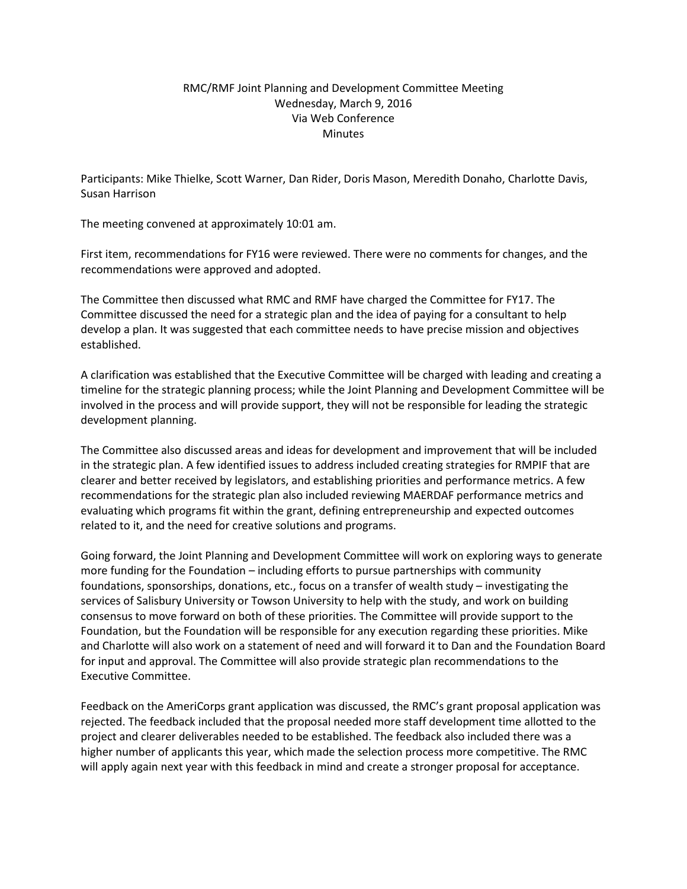## RMC/RMF Joint Planning and Development Committee Meeting Wednesday, March 9, 2016 Via Web Conference **Minutes**

Participants: Mike Thielke, Scott Warner, Dan Rider, Doris Mason, Meredith Donaho, Charlotte Davis, Susan Harrison

The meeting convened at approximately 10:01 am.

First item, recommendations for FY16 were reviewed. There were no comments for changes, and the recommendations were approved and adopted.

The Committee then discussed what RMC and RMF have charged the Committee for FY17. The Committee discussed the need for a strategic plan and the idea of paying for a consultant to help develop a plan. It was suggested that each committee needs to have precise mission and objectives established.

A clarification was established that the Executive Committee will be charged with leading and creating a timeline for the strategic planning process; while the Joint Planning and Development Committee will be involved in the process and will provide support, they will not be responsible for leading the strategic development planning.

The Committee also discussed areas and ideas for development and improvement that will be included in the strategic plan. A few identified issues to address included creating strategies for RMPIF that are clearer and better received by legislators, and establishing priorities and performance metrics. A few recommendations for the strategic plan also included reviewing MAERDAF performance metrics and evaluating which programs fit within the grant, defining entrepreneurship and expected outcomes related to it, and the need for creative solutions and programs.

Going forward, the Joint Planning and Development Committee will work on exploring ways to generate more funding for the Foundation – including efforts to pursue partnerships with community foundations, sponsorships, donations, etc., focus on a transfer of wealth study – investigating the services of Salisbury University or Towson University to help with the study, and work on building consensus to move forward on both of these priorities. The Committee will provide support to the Foundation, but the Foundation will be responsible for any execution regarding these priorities. Mike and Charlotte will also work on a statement of need and will forward it to Dan and the Foundation Board for input and approval. The Committee will also provide strategic plan recommendations to the Executive Committee.

Feedback on the AmeriCorps grant application was discussed, the RMC's grant proposal application was rejected. The feedback included that the proposal needed more staff development time allotted to the project and clearer deliverables needed to be established. The feedback also included there was a higher number of applicants this year, which made the selection process more competitive. The RMC will apply again next year with this feedback in mind and create a stronger proposal for acceptance.